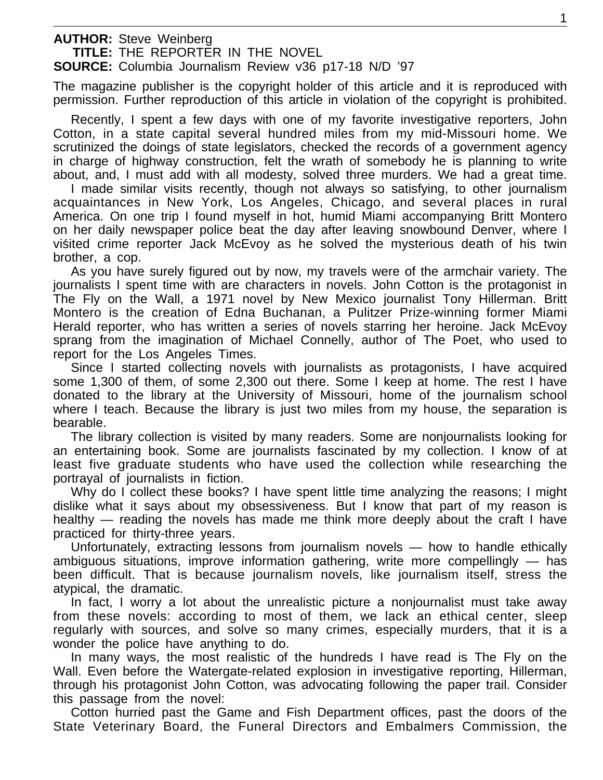**AUTHOR:** Steve Weinberg **TITLE:** THE REPORTER IN THE NOVEL

**SOURCE:** Columbia Journalism Review v36 p17-18 N/D '97

The magazine publisher is the copyright holder of this article and it is reproduced with permission. Further reproduction of this article in violation of the copyright is prohibited.

Recently, I spent a few days with one of my favorite investigative reporters, John Cotton, in a state capital several hundred miles from my mid-Missouri home. We scrutinized the doings of state legislators, checked the records of a government agency in charge of highway construction, felt the wrath of somebody he is planning to write about, and, I must add with all modesty, solved three murders. We had a great time.

I made similar visits recently, though not always so satisfying, to other journalism acquaintances in New York, Los Angeles, Chicago, and several places in rural America. On one trip I found myself in hot, humid Miami accompanying Britt Montero on her daily newspaper police beat the day after leaving snowbound Denver, where I visited crime reporter Jack McEvoy as he solved the mysterious death of his twin brother, a cop.

As you have surely figured out by now, my travels were of the armchair variety. The journalists I spent time with are characters in novels. John Cotton is the protagonist in The Fly on the Wall, a 1971 novel by New Mexico journalist Tony Hillerman. Britt Montero is the creation of Edna Buchanan, a Pulitzer Prize-winning former Miami Herald reporter, who has written a series of novels starring her heroine. Jack McEvoy sprang from the imagination of Michael Connelly, author of The Poet, who used to report for the Los Angeles Times.

Since I started collecting novels with journalists as protagonists, I have acquired some 1,300 of them, of some 2,300 out there. Some I keep at home. The rest I have donated to the library at the University of Missouri, home of the journalism school where I teach. Because the library is just two miles from my house, the separation is bearable.

The library collection is visited by many readers. Some are nonjournalists looking for an entertaining book. Some are journalists fascinated by my collection. I know of at least five graduate students who have used the collection while researching the portrayal of journalists in fiction.

Why do I collect these books? I have spent little time analyzing the reasons; I might dislike what it says about my obsessiveness. But I know that part of my reason is healthy — reading the novels has made me think more deeply about the craft I have practiced for thirty-three years.

Unfortunately, extracting lessons from journalism novels — how to handle ethically ambiguous situations, improve information gathering, write more compellingly — has been difficult. That is because journalism novels, like journalism itself, stress the atypical, the dramatic.

In fact, I worry a lot about the unrealistic picture a nonjournalist must take away from these novels: according to most of them, we lack an ethical center, sleep regularly with sources, and solve so many crimes, especially murders, that it is a wonder the police have anything to do.

In many ways, the most realistic of the hundreds I have read is The Fly on the Wall. Even before the Watergate-related explosion in investigative reporting, Hillerman, through his protagonist John Cotton, was advocating following the paper trail. Consider this passage from the novel:

Cotton hurried past the Game and Fish Department offices, past the doors of the State Veterinary Board, the Funeral Directors and Embalmers Commission, the